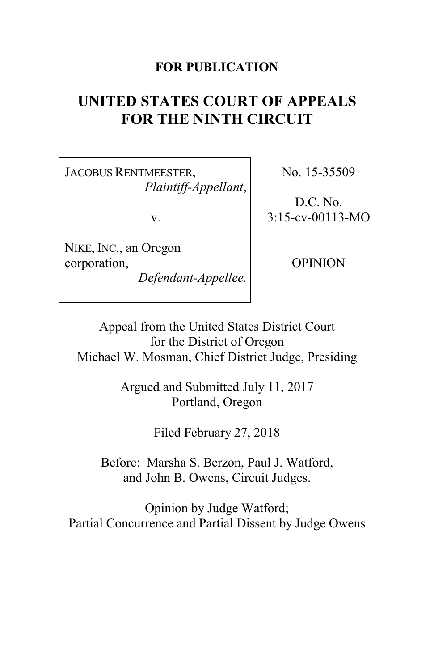## **FOR PUBLICATION**

## **UNITED STATES COURT OF APPEALS FOR THE NINTH CIRCUIT**

JACOBUS RENTMEESTER, *Plaintiff-Appellant*,

v.

NIKE, INC., an Oregon corporation,

*Defendant-Appellee.*

No. 15-35509

D.C. No. 3:15-cv-00113-MO

OPINION

Appeal from the United States District Court for the District of Oregon Michael W. Mosman, Chief District Judge, Presiding

> Argued and Submitted July 11, 2017 Portland, Oregon

> > Filed February 27, 2018

Before: Marsha S. Berzon, Paul J. Watford, and John B. Owens, Circuit Judges.

Opinion by Judge Watford; Partial Concurrence and Partial Dissent by Judge Owens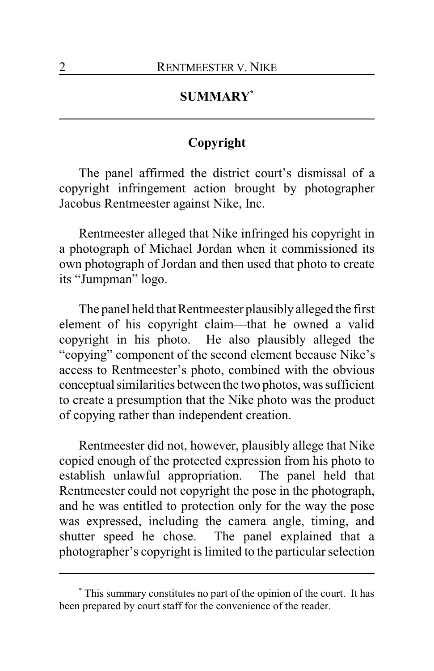## **SUMMARY\***

## **Copyright**

The panel affirmed the district court's dismissal of a copyright infringement action brought by photographer Jacobus Rentmeester against Nike, Inc.

Rentmeester alleged that Nike infringed his copyright in a photograph of Michael Jordan when it commissioned its own photograph of Jordan and then used that photo to create its "Jumpman" logo.

The panel held that Rentmeester plausibly alleged the first element of his copyright claim—that he owned a valid copyright in his photo. He also plausibly alleged the "copying" component of the second element because Nike's access to Rentmeester's photo, combined with the obvious conceptual similarities between the two photos, was sufficient to create a presumption that the Nike photo was the product of copying rather than independent creation.

Rentmeester did not, however, plausibly allege that Nike copied enough of the protected expression from his photo to establish unlawful appropriation. The panel held that Rentmeester could not copyright the pose in the photograph, and he was entitled to protection only for the way the pose was expressed, including the camera angle, timing, and shutter speed he chose. The panel explained that a photographer's copyright is limited to the particular selection

<sup>\*</sup> This summary constitutes no part of the opinion of the court. It has been prepared by court staff for the convenience of the reader.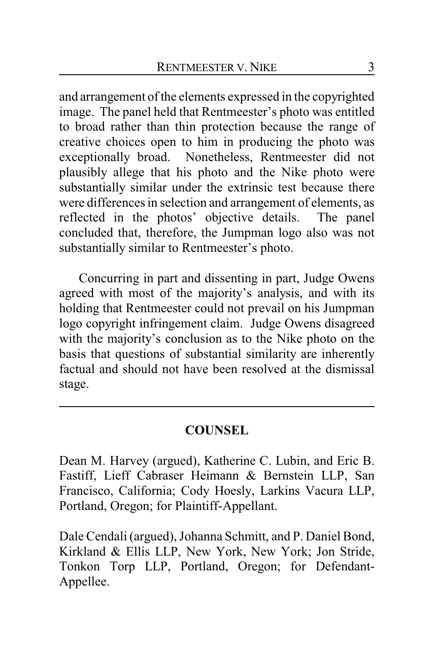and arrangement of the elements expressed in the copyrighted image. The panel held that Rentmeester's photo was entitled to broad rather than thin protection because the range of creative choices open to him in producing the photo was exceptionally broad. Nonetheless, Rentmeester did not plausibly allege that his photo and the Nike photo were substantially similar under the extrinsic test because there were differences in selection and arrangement of elements, as reflected in the photos' objective details. The panel concluded that, therefore, the Jumpman logo also was not substantially similar to Rentmeester's photo.

Concurring in part and dissenting in part, Judge Owens agreed with most of the majority's analysis, and with its holding that Rentmeester could not prevail on his Jumpman logo copyright infringement claim. Judge Owens disagreed with the majority's conclusion as to the Nike photo on the basis that questions of substantial similarity are inherently factual and should not have been resolved at the dismissal stage.

## **COUNSEL**

Dean M. Harvey (argued), Katherine C. Lubin, and Eric B. Fastiff, Lieff Cabraser Heimann & Bernstein LLP, San Francisco, California; Cody Hoesly, Larkins Vacura LLP, Portland, Oregon; for Plaintiff-Appellant.

Dale Cendali (argued), Johanna Schmitt, and P. Daniel Bond, Kirkland & Ellis LLP, New York, New York; Jon Stride, Tonkon Torp LLP, Portland, Oregon; for Defendant-Appellee.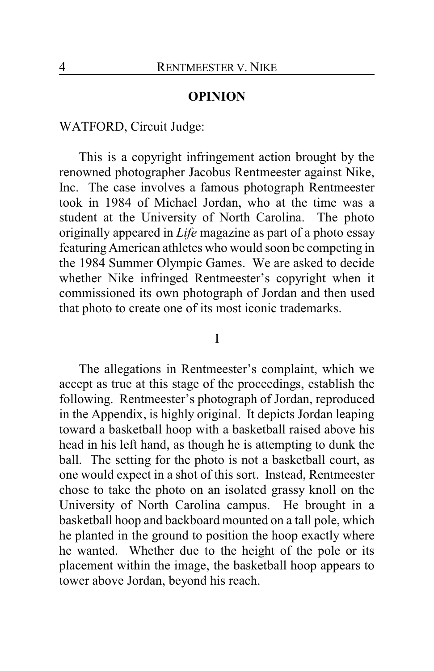### **OPINION**

WATFORD, Circuit Judge:

This is a copyright infringement action brought by the renowned photographer Jacobus Rentmeester against Nike, Inc. The case involves a famous photograph Rentmeester took in 1984 of Michael Jordan, who at the time was a student at the University of North Carolina. The photo originally appeared in *Life* magazine as part of a photo essay featuring American athletes who would soon be competing in the 1984 Summer Olympic Games. We are asked to decide whether Nike infringed Rentmeester's copyright when it commissioned its own photograph of Jordan and then used that photo to create one of its most iconic trademarks.

I

The allegations in Rentmeester's complaint, which we accept as true at this stage of the proceedings, establish the following. Rentmeester's photograph of Jordan, reproduced in the Appendix, is highly original. It depicts Jordan leaping toward a basketball hoop with a basketball raised above his head in his left hand, as though he is attempting to dunk the ball. The setting for the photo is not a basketball court, as one would expect in a shot of this sort. Instead, Rentmeester chose to take the photo on an isolated grassy knoll on the University of North Carolina campus. He brought in a basketball hoop and backboard mounted on a tall pole, which he planted in the ground to position the hoop exactly where he wanted. Whether due to the height of the pole or its placement within the image, the basketball hoop appears to tower above Jordan, beyond his reach.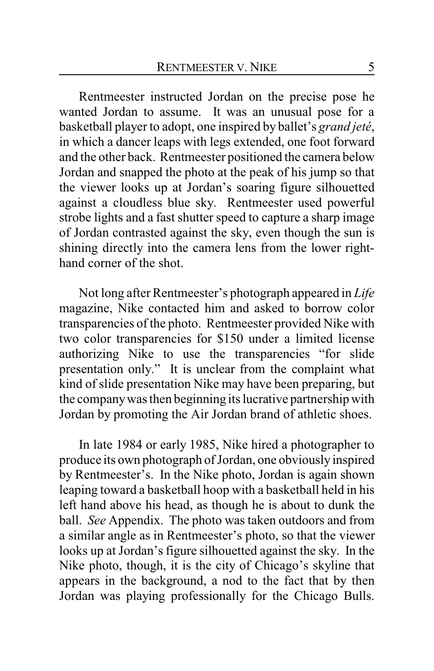Rentmeester instructed Jordan on the precise pose he wanted Jordan to assume. It was an unusual pose for a basketball player to adopt, one inspired by ballet's *grand jeté*, in which a dancer leaps with legs extended, one foot forward and the other back. Rentmeester positioned the camera below Jordan and snapped the photo at the peak of his jump so that the viewer looks up at Jordan's soaring figure silhouetted against a cloudless blue sky. Rentmeester used powerful strobe lights and a fast shutter speed to capture a sharp image of Jordan contrasted against the sky, even though the sun is shining directly into the camera lens from the lower righthand corner of the shot.

Not long after Rentmeester's photograph appeared in *Life* magazine, Nike contacted him and asked to borrow color transparencies of the photo. Rentmeester provided Nike with two color transparencies for \$150 under a limited license authorizing Nike to use the transparencies "for slide presentation only." It is unclear from the complaint what kind of slide presentation Nike may have been preparing, but the companywas then beginning its lucrative partnership with Jordan by promoting the Air Jordan brand of athletic shoes.

In late 1984 or early 1985, Nike hired a photographer to produce its own photograph of Jordan, one obviously inspired by Rentmeester's. In the Nike photo, Jordan is again shown leaping toward a basketball hoop with a basketball held in his left hand above his head, as though he is about to dunk the ball. *See* Appendix. The photo was taken outdoors and from a similar angle as in Rentmeester's photo, so that the viewer looks up at Jordan's figure silhouetted against the sky. In the Nike photo, though, it is the city of Chicago's skyline that appears in the background, a nod to the fact that by then Jordan was playing professionally for the Chicago Bulls.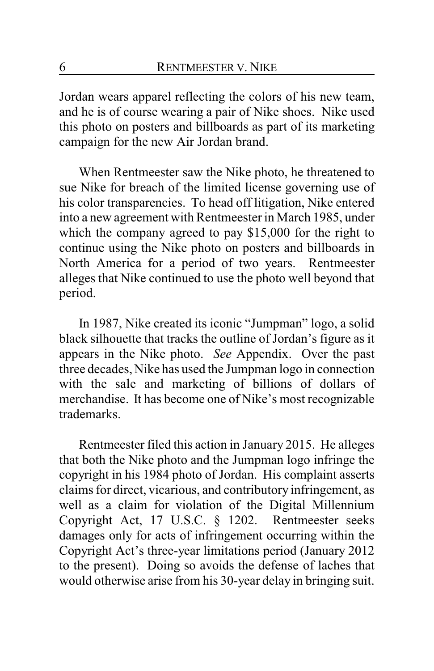Jordan wears apparel reflecting the colors of his new team, and he is of course wearing a pair of Nike shoes. Nike used this photo on posters and billboards as part of its marketing campaign for the new Air Jordan brand.

When Rentmeester saw the Nike photo, he threatened to sue Nike for breach of the limited license governing use of his color transparencies. To head off litigation, Nike entered into a new agreement with Rentmeester in March 1985, under which the company agreed to pay \$15,000 for the right to continue using the Nike photo on posters and billboards in North America for a period of two years. Rentmeester alleges that Nike continued to use the photo well beyond that period.

In 1987, Nike created its iconic "Jumpman" logo, a solid black silhouette that tracks the outline of Jordan's figure as it appears in the Nike photo. *See* Appendix. Over the past three decades, Nike has used the Jumpman logo in connection with the sale and marketing of billions of dollars of merchandise. It has become one of Nike's most recognizable trademarks.

Rentmeester filed this action in January 2015. He alleges that both the Nike photo and the Jumpman logo infringe the copyright in his 1984 photo of Jordan. His complaint asserts claims for direct, vicarious, and contributory infringement, as well as a claim for violation of the Digital Millennium Copyright Act, 17 U.S.C. § 1202. Rentmeester seeks damages only for acts of infringement occurring within the Copyright Act's three-year limitations period (January 2012 to the present). Doing so avoids the defense of laches that would otherwise arise from his 30-year delay in bringing suit.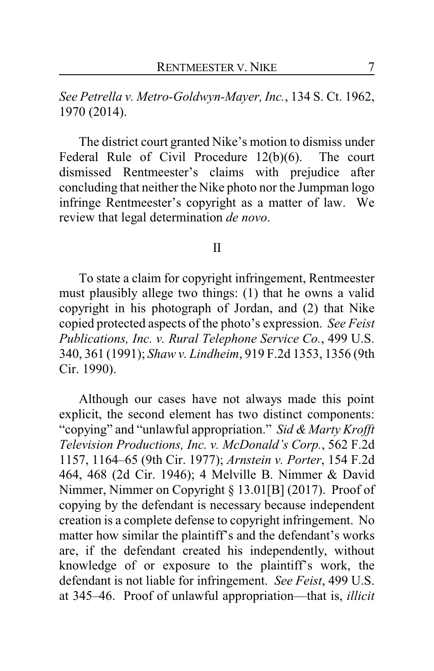*See Petrella v. Metro-Goldwyn-Mayer, Inc.*, 134 S. Ct. 1962, 1970 (2014).

The district court granted Nike's motion to dismiss under Federal Rule of Civil Procedure 12(b)(6). The court dismissed Rentmeester's claims with prejudice after concluding that neither the Nike photo nor the Jumpman logo infringe Rentmeester's copyright as a matter of law. We review that legal determination *de novo*.

#### II

To state a claim for copyright infringement, Rentmeester must plausibly allege two things: (1) that he owns a valid copyright in his photograph of Jordan, and (2) that Nike copied protected aspects of the photo's expression. *See Feist Publications, Inc. v. Rural Telephone Service Co.*, 499 U.S. 340, 361 (1991); *Shaw v. Lindheim*, 919 F.2d 1353, 1356 (9th Cir. 1990).

Although our cases have not always made this point explicit, the second element has two distinct components: "copying" and "unlawful appropriation." *Sid & Marty Krofft Television Productions, Inc. v. McDonald's Corp.*, 562 F.2d 1157, 1164–65 (9th Cir. 1977); *Arnstein v. Porter*, 154 F.2d 464, 468 (2d Cir. 1946); 4 Melville B. Nimmer & David Nimmer, Nimmer on Copyright § 13.01[B] (2017). Proof of copying by the defendant is necessary because independent creation is a complete defense to copyright infringement. No matter how similar the plaintiff's and the defendant's works are, if the defendant created his independently, without knowledge of or exposure to the plaintiff's work, the defendant is not liable for infringement. *See Feist*, 499 U.S. at 345–46. Proof of unlawful appropriation—that is, *illicit*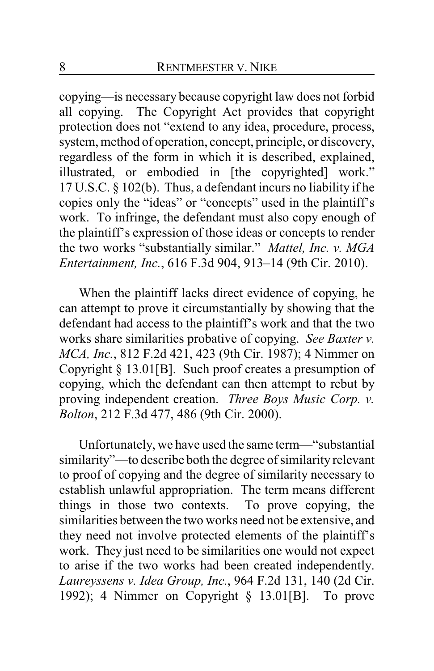copying—is necessary because copyright law does not forbid all copying. The Copyright Act provides that copyright protection does not "extend to any idea, procedure, process, system, method of operation, concept, principle, or discovery, regardless of the form in which it is described, explained, illustrated, or embodied in [the copyrighted] work." 17 U.S.C. § 102(b). Thus, a defendant incurs no liability if he copies only the "ideas" or "concepts" used in the plaintiff's work. To infringe, the defendant must also copy enough of the plaintiff's expression of those ideas or concepts to render the two works "substantially similar." *Mattel, Inc. v. MGA Entertainment, Inc.*, 616 F.3d 904, 913–14 (9th Cir. 2010).

When the plaintiff lacks direct evidence of copying, he can attempt to prove it circumstantially by showing that the defendant had access to the plaintiff's work and that the two works share similarities probative of copying. *See Baxter v. MCA, Inc.*, 812 F.2d 421, 423 (9th Cir. 1987); 4 Nimmer on Copyright § 13.01[B]. Such proof creates a presumption of copying, which the defendant can then attempt to rebut by proving independent creation. *Three Boys Music Corp. v. Bolton*, 212 F.3d 477, 486 (9th Cir. 2000).

Unfortunately, we have used the same term—"substantial similarity"—to describe both the degree of similarity relevant to proof of copying and the degree of similarity necessary to establish unlawful appropriation. The term means different things in those two contexts. To prove copying, the similarities between the two works need not be extensive, and they need not involve protected elements of the plaintiff's work. They just need to be similarities one would not expect to arise if the two works had been created independently. *Laureyssens v. Idea Group, Inc.*, 964 F.2d 131, 140 (2d Cir. 1992); 4 Nimmer on Copyright § 13.01[B]. To prove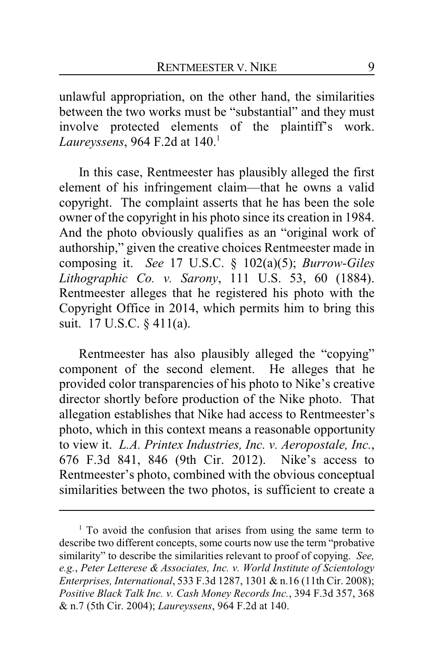unlawful appropriation, on the other hand, the similarities between the two works must be "substantial" and they must involve protected elements of the plaintiff's work. *Laureyssens*, 964 F.2d at 140.<sup>1</sup>

In this case, Rentmeester has plausibly alleged the first element of his infringement claim—that he owns a valid copyright. The complaint asserts that he has been the sole owner of the copyright in his photo since its creation in 1984. And the photo obviously qualifies as an "original work of authorship," given the creative choices Rentmeester made in composing it. *See* 17 U.S.C. § 102(a)(5); *Burrow-Giles Lithographic Co. v. Sarony*, 111 U.S. 53, 60 (1884). Rentmeester alleges that he registered his photo with the Copyright Office in 2014, which permits him to bring this suit. 17 U.S.C. § 411(a).

Rentmeester has also plausibly alleged the "copying" component of the second element. He alleges that he provided color transparencies of his photo to Nike's creative director shortly before production of the Nike photo. That allegation establishes that Nike had access to Rentmeester's photo, which in this context means a reasonable opportunity to view it. *L.A. Printex Industries, Inc. v. Aeropostale, Inc.*, 676 F.3d 841, 846 (9th Cir. 2012). Nike's access to Rentmeester's photo, combined with the obvious conceptual similarities between the two photos, is sufficient to create a

<sup>&</sup>lt;sup>1</sup> To avoid the confusion that arises from using the same term to describe two different concepts, some courts now use the term "probative similarity" to describe the similarities relevant to proof of copying. *See, e.g.*, *Peter Letterese & Associates, Inc. v. World Institute of Scientology Enterprises, International*, 533 F.3d 1287, 1301 & n.16 (11th Cir. 2008); *Positive Black Talk Inc. v. Cash Money Records Inc.*, 394 F.3d 357, 368 & n.7 (5th Cir. 2004); *Laureyssens*, 964 F.2d at 140.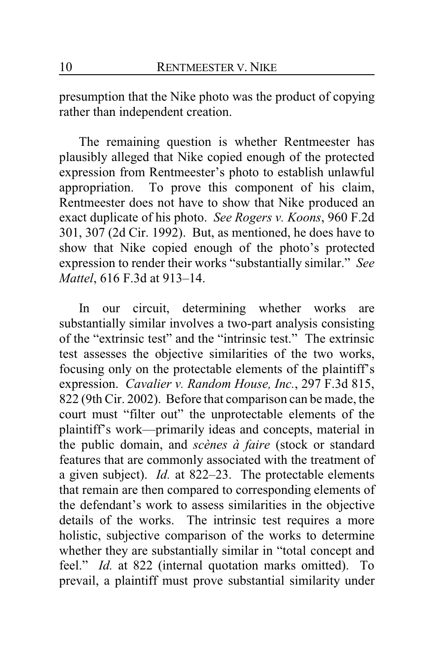presumption that the Nike photo was the product of copying rather than independent creation.

The remaining question is whether Rentmeester has plausibly alleged that Nike copied enough of the protected expression from Rentmeester's photo to establish unlawful appropriation. To prove this component of his claim, Rentmeester does not have to show that Nike produced an exact duplicate of his photo. *See Rogers v. Koons*, 960 F.2d 301, 307 (2d Cir. 1992). But, as mentioned, he does have to show that Nike copied enough of the photo's protected expression to render their works "substantially similar." *See Mattel*, 616 F.3d at 913–14.

In our circuit, determining whether works are substantially similar involves a two-part analysis consisting of the "extrinsic test" and the "intrinsic test." The extrinsic test assesses the objective similarities of the two works, focusing only on the protectable elements of the plaintiff's expression. *Cavalier v. Random House, Inc.*, 297 F.3d 815, 822 (9th Cir. 2002). Before that comparison can be made, the court must "filter out" the unprotectable elements of the plaintiff's work—primarily ideas and concepts, material in the public domain, and *scènes à faire* (stock or standard features that are commonly associated with the treatment of a given subject). *Id.* at 822–23. The protectable elements that remain are then compared to corresponding elements of the defendant's work to assess similarities in the objective details of the works. The intrinsic test requires a more holistic, subjective comparison of the works to determine whether they are substantially similar in "total concept and feel." *Id.* at 822 (internal quotation marks omitted). To prevail, a plaintiff must prove substantial similarity under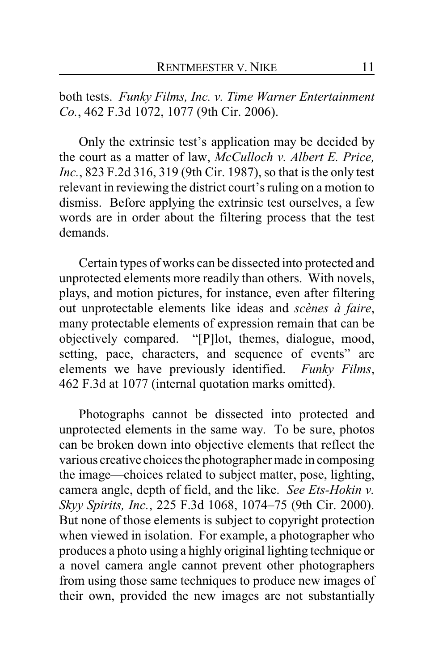both tests. *Funky Films, Inc. v. Time Warner Entertainment Co.*, 462 F.3d 1072, 1077 (9th Cir. 2006).

Only the extrinsic test's application may be decided by the court as a matter of law, *McCulloch v. Albert E. Price, Inc.*, 823 F.2d 316, 319 (9th Cir. 1987), so that is the only test relevant in reviewing the district court's ruling on a motion to dismiss. Before applying the extrinsic test ourselves, a few words are in order about the filtering process that the test demands.

Certain types of works can be dissected into protected and unprotected elements more readily than others. With novels, plays, and motion pictures, for instance, even after filtering out unprotectable elements like ideas and *scènes à faire*, many protectable elements of expression remain that can be objectively compared. "[P]lot, themes, dialogue, mood, setting, pace, characters, and sequence of events" are elements we have previously identified. *Funky Films*, 462 F.3d at 1077 (internal quotation marks omitted).

Photographs cannot be dissected into protected and unprotected elements in the same way. To be sure, photos can be broken down into objective elements that reflect the various creative choices the photographer made in composing the image—choices related to subject matter, pose, lighting, camera angle, depth of field, and the like. *See Ets-Hokin v. Skyy Spirits, Inc.*, 225 F.3d 1068, 1074–75 (9th Cir. 2000). But none of those elements is subject to copyright protection when viewed in isolation. For example, a photographer who produces a photo using a highly original lighting technique or a novel camera angle cannot prevent other photographers from using those same techniques to produce new images of their own, provided the new images are not substantially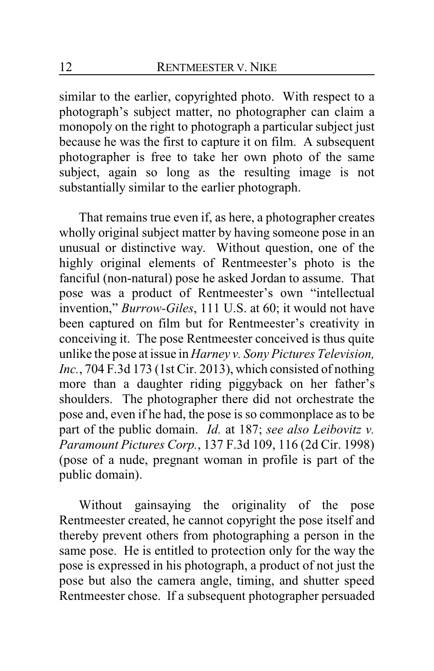similar to the earlier, copyrighted photo. With respect to a photograph's subject matter, no photographer can claim a monopoly on the right to photograph a particular subject just because he was the first to capture it on film. A subsequent photographer is free to take her own photo of the same subject, again so long as the resulting image is not substantially similar to the earlier photograph.

That remains true even if, as here, a photographer creates wholly original subject matter by having someone pose in an unusual or distinctive way. Without question, one of the highly original elements of Rentmeester's photo is the fanciful (non-natural) pose he asked Jordan to assume. That pose was a product of Rentmeester's own "intellectual invention," *Burrow-Giles*, 111 U.S. at 60; it would not have been captured on film but for Rentmeester's creativity in conceiving it. The pose Rentmeester conceived is thus quite unlike the pose at issue in *Harney v. Sony Pictures Television, Inc.*, 704 F.3d 173 (1st Cir. 2013), which consisted of nothing more than a daughter riding piggyback on her father's shoulders. The photographer there did not orchestrate the pose and, even if he had, the pose is so commonplace as to be part of the public domain. *Id.* at 187; *see also Leibovitz v. Paramount Pictures Corp.*, 137 F.3d 109, 116 (2d Cir. 1998) (pose of a nude, pregnant woman in profile is part of the public domain).

Without gainsaying the originality of the pose Rentmeester created, he cannot copyright the pose itself and thereby prevent others from photographing a person in the same pose. He is entitled to protection only for the way the pose is expressed in his photograph, a product of not just the pose but also the camera angle, timing, and shutter speed Rentmeester chose. If a subsequent photographer persuaded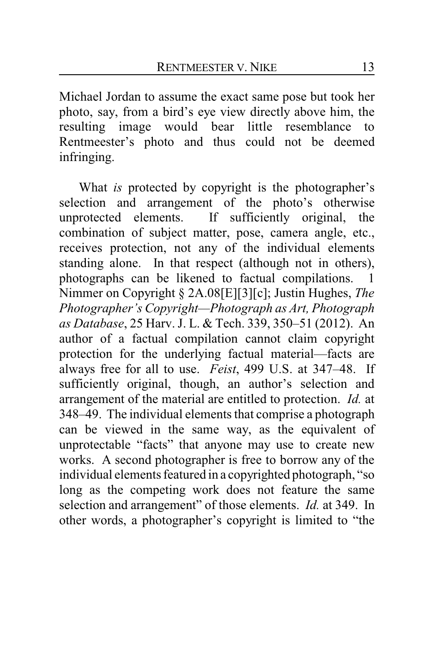Michael Jordan to assume the exact same pose but took her photo, say, from a bird's eye view directly above him, the resulting image would bear little resemblance to Rentmeester's photo and thus could not be deemed infringing.

What *is* protected by copyright is the photographer's selection and arrangement of the photo's otherwise unprotected elements. If sufficiently original, the combination of subject matter, pose, camera angle, etc., receives protection, not any of the individual elements standing alone. In that respect (although not in others), photographs can be likened to factual compilations. 1 Nimmer on Copyright § 2A.08[E][3][c]; Justin Hughes, *The Photographer's Copyright—Photograph as Art, Photograph as Database*, 25 Harv. J. L. & Tech. 339, 350–51 (2012). An author of a factual compilation cannot claim copyright protection for the underlying factual material—facts are always free for all to use. *Feist*, 499 U.S. at 347–48. If sufficiently original, though, an author's selection and arrangement of the material are entitled to protection. *Id.* at 348–49. The individual elements that comprise a photograph can be viewed in the same way, as the equivalent of unprotectable "facts" that anyone may use to create new works. A second photographer is free to borrow any of the individual elements featured in a copyrighted photograph, "so long as the competing work does not feature the same selection and arrangement" of those elements. *Id.* at 349. In other words, a photographer's copyright is limited to "the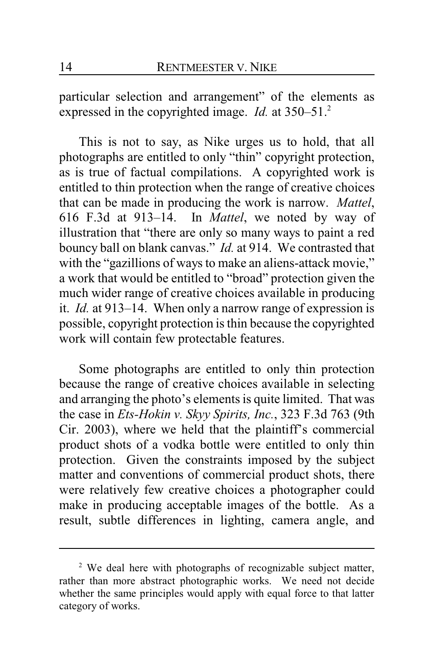particular selection and arrangement" of the elements as expressed in the copyrighted image. *Id.* at 350–51.<sup>2</sup>

This is not to say, as Nike urges us to hold, that all photographs are entitled to only "thin" copyright protection, as is true of factual compilations. A copyrighted work is entitled to thin protection when the range of creative choices that can be made in producing the work is narrow. *Mattel*, 616 F.3d at 913–14. In *Mattel*, we noted by way of illustration that "there are only so many ways to paint a red bouncy ball on blank canvas." *Id.* at 914. We contrasted that with the "gazillions of ways to make an aliens-attack movie," a work that would be entitled to "broad" protection given the much wider range of creative choices available in producing it. *Id.* at 913–14. When only a narrow range of expression is possible, copyright protection is thin because the copyrighted work will contain few protectable features.

Some photographs are entitled to only thin protection because the range of creative choices available in selecting and arranging the photo's elements is quite limited. That was the case in *Ets-Hokin v. Skyy Spirits, Inc.*, 323 F.3d 763 (9th Cir. 2003), where we held that the plaintiff's commercial product shots of a vodka bottle were entitled to only thin protection. Given the constraints imposed by the subject matter and conventions of commercial product shots, there were relatively few creative choices a photographer could make in producing acceptable images of the bottle. As a result, subtle differences in lighting, camera angle, and

<sup>&</sup>lt;sup>2</sup> We deal here with photographs of recognizable subject matter, rather than more abstract photographic works. We need not decide whether the same principles would apply with equal force to that latter category of works.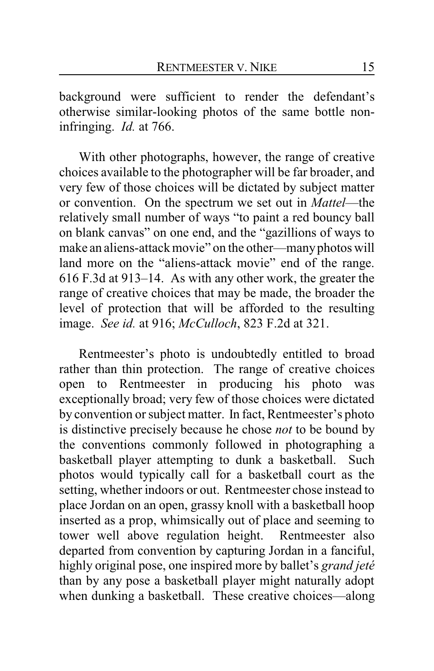background were sufficient to render the defendant's otherwise similar-looking photos of the same bottle noninfringing. *Id.* at 766.

With other photographs, however, the range of creative choices available to the photographer will be far broader, and very few of those choices will be dictated by subject matter or convention. On the spectrum we set out in *Mattel*—the relatively small number of ways "to paint a red bouncy ball on blank canvas" on one end, and the "gazillions of ways to make an aliens-attack movie" on the other—manyphotos will land more on the "aliens-attack movie" end of the range. 616 F.3d at 913–14. As with any other work, the greater the range of creative choices that may be made, the broader the level of protection that will be afforded to the resulting image. *See id.* at 916; *McCulloch*, 823 F.2d at 321.

Rentmeester's photo is undoubtedly entitled to broad rather than thin protection. The range of creative choices open to Rentmeester in producing his photo was exceptionally broad; very few of those choices were dictated by convention or subject matter. In fact, Rentmeester's photo is distinctive precisely because he chose *not* to be bound by the conventions commonly followed in photographing a basketball player attempting to dunk a basketball. Such photos would typically call for a basketball court as the setting, whether indoors or out. Rentmeester chose instead to place Jordan on an open, grassy knoll with a basketball hoop inserted as a prop, whimsically out of place and seeming to tower well above regulation height. Rentmeester also departed from convention by capturing Jordan in a fanciful, highly original pose, one inspired more by ballet's *grand jeté* than by any pose a basketball player might naturally adopt when dunking a basketball. These creative choices—along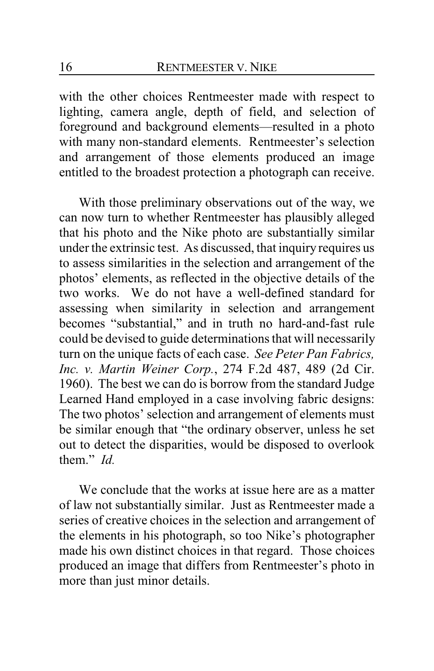with the other choices Rentmeester made with respect to lighting, camera angle, depth of field, and selection of foreground and background elements—resulted in a photo with many non-standard elements. Rentmeester's selection and arrangement of those elements produced an image entitled to the broadest protection a photograph can receive.

With those preliminary observations out of the way, we can now turn to whether Rentmeester has plausibly alleged that his photo and the Nike photo are substantially similar under the extrinsic test. As discussed, that inquiry requires us to assess similarities in the selection and arrangement of the photos' elements, as reflected in the objective details of the two works. We do not have a well-defined standard for assessing when similarity in selection and arrangement becomes "substantial," and in truth no hard-and-fast rule could be devised to guide determinations that will necessarily turn on the unique facts of each case. *See Peter Pan Fabrics, Inc. v. Martin Weiner Corp.*, 274 F.2d 487, 489 (2d Cir. 1960). The best we can do is borrow from the standard Judge Learned Hand employed in a case involving fabric designs: The two photos' selection and arrangement of elements must be similar enough that "the ordinary observer, unless he set out to detect the disparities, would be disposed to overlook them." *Id.*

We conclude that the works at issue here are as a matter of law not substantially similar. Just as Rentmeester made a series of creative choices in the selection and arrangement of the elements in his photograph, so too Nike's photographer made his own distinct choices in that regard. Those choices produced an image that differs from Rentmeester's photo in more than just minor details.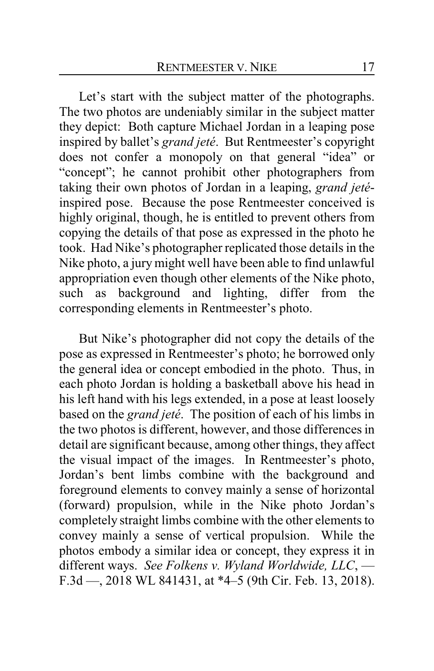Let's start with the subject matter of the photographs. The two photos are undeniably similar in the subject matter they depict: Both capture Michael Jordan in a leaping pose inspired by ballet's *grand jeté*. But Rentmeester's copyright does not confer a monopoly on that general "idea" or "concept"; he cannot prohibit other photographers from taking their own photos of Jordan in a leaping, *grand jeté*inspired pose. Because the pose Rentmeester conceived is highly original, though, he is entitled to prevent others from copying the details of that pose as expressed in the photo he took. Had Nike's photographer replicated those details in the Nike photo, a jury might well have been able to find unlawful appropriation even though other elements of the Nike photo, such as background and lighting, differ from the corresponding elements in Rentmeester's photo.

But Nike's photographer did not copy the details of the pose as expressed in Rentmeester's photo; he borrowed only the general idea or concept embodied in the photo. Thus, in each photo Jordan is holding a basketball above his head in his left hand with his legs extended, in a pose at least loosely based on the *grand jeté*. The position of each of his limbs in the two photos is different, however, and those differences in detail are significant because, among other things, they affect the visual impact of the images. In Rentmeester's photo, Jordan's bent limbs combine with the background and foreground elements to convey mainly a sense of horizontal (forward) propulsion, while in the Nike photo Jordan's completely straight limbs combine with the other elements to convey mainly a sense of vertical propulsion. While the photos embody a similar idea or concept, they express it in different ways. *See Folkens v. Wyland Worldwide, LLC*, — F.3d —, 2018 WL 841431, at \*4–5 (9th Cir. Feb. 13, 2018).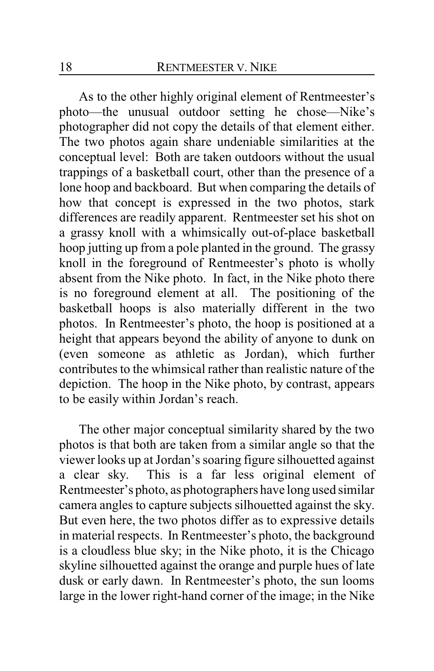As to the other highly original element of Rentmeester's photo—the unusual outdoor setting he chose—Nike's photographer did not copy the details of that element either. The two photos again share undeniable similarities at the conceptual level: Both are taken outdoors without the usual trappings of a basketball court, other than the presence of a lone hoop and backboard. But when comparing the details of how that concept is expressed in the two photos, stark differences are readily apparent. Rentmeester set his shot on a grassy knoll with a whimsically out-of-place basketball hoop jutting up from a pole planted in the ground. The grassy knoll in the foreground of Rentmeester's photo is wholly absent from the Nike photo. In fact, in the Nike photo there is no foreground element at all. The positioning of the basketball hoops is also materially different in the two photos. In Rentmeester's photo, the hoop is positioned at a height that appears beyond the ability of anyone to dunk on (even someone as athletic as Jordan), which further contributes to the whimsical rather than realistic nature of the depiction. The hoop in the Nike photo, by contrast, appears to be easily within Jordan's reach.

The other major conceptual similarity shared by the two photos is that both are taken from a similar angle so that the viewer looks up at Jordan's soaring figure silhouetted against a clear sky. This is a far less original element of Rentmeester's photo, as photographers have long used similar camera angles to capture subjects silhouetted against the sky. But even here, the two photos differ as to expressive details in material respects. In Rentmeester's photo, the background is a cloudless blue sky; in the Nike photo, it is the Chicago skyline silhouetted against the orange and purple hues of late dusk or early dawn. In Rentmeester's photo, the sun looms large in the lower right-hand corner of the image; in the Nike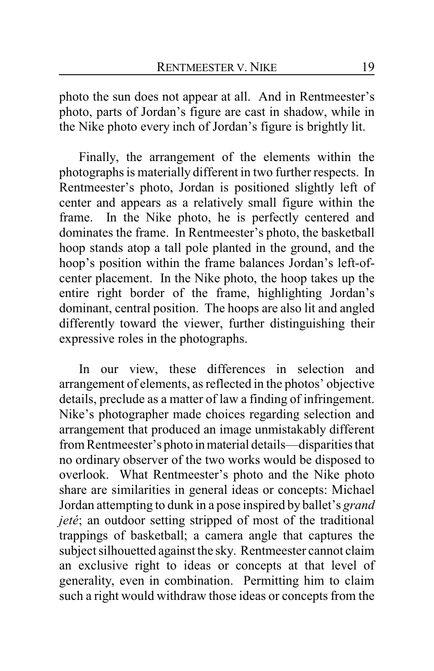photo the sun does not appear at all. And in Rentmeester's photo, parts of Jordan's figure are cast in shadow, while in the Nike photo every inch of Jordan's figure is brightly lit.

Finally, the arrangement of the elements within the photographs is materially different in two further respects. In Rentmeester's photo, Jordan is positioned slightly left of center and appears as a relatively small figure within the frame. In the Nike photo, he is perfectly centered and dominates the frame. In Rentmeester's photo, the basketball hoop stands atop a tall pole planted in the ground, and the hoop's position within the frame balances Jordan's left-ofcenter placement. In the Nike photo, the hoop takes up the entire right border of the frame, highlighting Jordan's dominant, central position. The hoops are also lit and angled differently toward the viewer, further distinguishing their expressive roles in the photographs.

In our view, these differences in selection and arrangement of elements, as reflected in the photos' objective details, preclude as a matter of law a finding of infringement. Nike's photographer made choices regarding selection and arrangement that produced an image unmistakably different from Rentmeester's photo inmaterial details—disparities that no ordinary observer of the two works would be disposed to overlook. What Rentmeester's photo and the Nike photo share are similarities in general ideas or concepts: Michael Jordan attempting to dunk in a pose inspired by ballet's *grand jeté*; an outdoor setting stripped of most of the traditional trappings of basketball; a camera angle that captures the subject silhouetted against the sky. Rentmeester cannot claim an exclusive right to ideas or concepts at that level of generality, even in combination. Permitting him to claim such a right would withdraw those ideas or concepts from the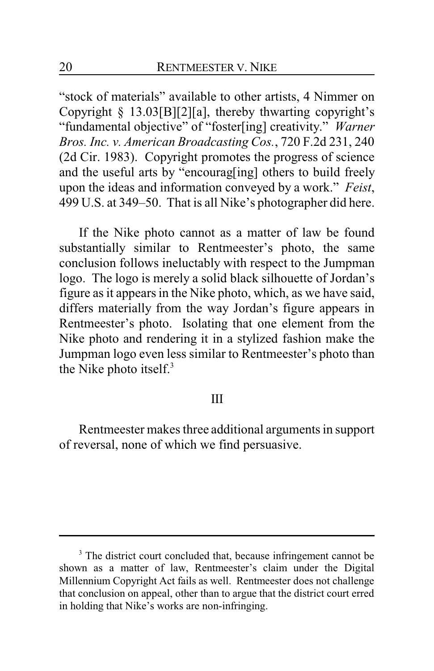"stock of materials" available to other artists, 4 Nimmer on Copyright § 13.03[B][2][a], thereby thwarting copyright's "fundamental objective" of "foster[ing] creativity." *Warner Bros. Inc. v. American Broadcasting Cos.*, 720 F.2d 231, 240 (2d Cir. 1983). Copyright promotes the progress of science and the useful arts by "encourag[ing] others to build freely upon the ideas and information conveyed by a work." *Feist*, 499 U.S. at 349–50. That is all Nike's photographer did here.

If the Nike photo cannot as a matter of law be found substantially similar to Rentmeester's photo, the same conclusion follows ineluctably with respect to the Jumpman logo. The logo is merely a solid black silhouette of Jordan's figure as it appears in the Nike photo, which, as we have said, differs materially from the way Jordan's figure appears in Rentmeester's photo. Isolating that one element from the Nike photo and rendering it in a stylized fashion make the Jumpman logo even less similar to Rentmeester's photo than the Nike photo itself. $3$ 

#### III

Rentmeester makes three additional arguments in support of reversal, none of which we find persuasive.

<sup>&</sup>lt;sup>3</sup> The district court concluded that, because infringement cannot be shown as a matter of law, Rentmeester's claim under the Digital Millennium Copyright Act fails as well. Rentmeester does not challenge that conclusion on appeal, other than to argue that the district court erred in holding that Nike's works are non-infringing.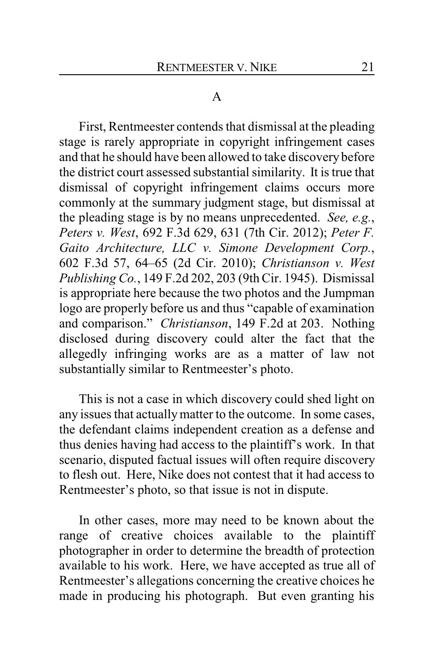#### A

First, Rentmeester contends that dismissal at the pleading stage is rarely appropriate in copyright infringement cases and that he should have been allowed to take discovery before the district court assessed substantial similarity. It is true that dismissal of copyright infringement claims occurs more commonly at the summary judgment stage, but dismissal at the pleading stage is by no means unprecedented. *See, e.g.*, *Peters v. West*, 692 F.3d 629, 631 (7th Cir. 2012); *Peter F. Gaito Architecture, LLC v. Simone Development Corp.*, 602 F.3d 57, 64–65 (2d Cir. 2010); *Christianson v. West Publishing Co.*, 149 F.2d 202, 203 (9th Cir. 1945). Dismissal is appropriate here because the two photos and the Jumpman logo are properly before us and thus "capable of examination and comparison." *Christianson*, 149 F.2d at 203. Nothing disclosed during discovery could alter the fact that the allegedly infringing works are as a matter of law not substantially similar to Rentmeester's photo.

This is not a case in which discovery could shed light on any issues that actuallymatter to the outcome. In some cases, the defendant claims independent creation as a defense and thus denies having had access to the plaintiff's work. In that scenario, disputed factual issues will often require discovery to flesh out. Here, Nike does not contest that it had access to Rentmeester's photo, so that issue is not in dispute.

In other cases, more may need to be known about the range of creative choices available to the plaintiff photographer in order to determine the breadth of protection available to his work. Here, we have accepted as true all of Rentmeester's allegations concerning the creative choices he made in producing his photograph. But even granting his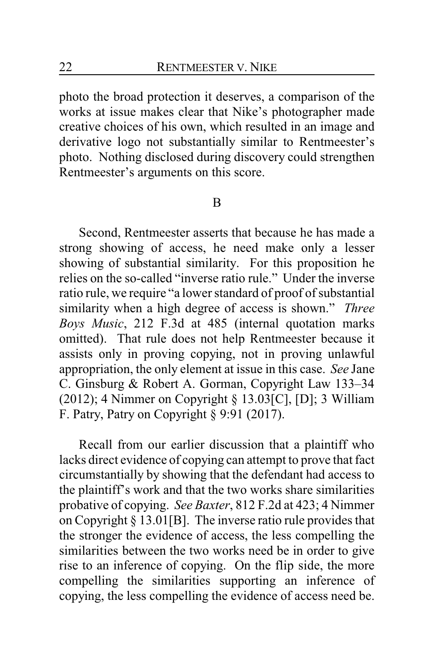photo the broad protection it deserves, a comparison of the works at issue makes clear that Nike's photographer made creative choices of his own, which resulted in an image and derivative logo not substantially similar to Rentmeester's photo. Nothing disclosed during discovery could strengthen Rentmeester's arguments on this score.

#### B

Second, Rentmeester asserts that because he has made a strong showing of access, he need make only a lesser showing of substantial similarity. For this proposition he relies on the so-called "inverse ratio rule." Under the inverse ratio rule, we require "a lower standard of proof of substantial similarity when a high degree of access is shown." *Three Boys Music*, 212 F.3d at 485 (internal quotation marks omitted). That rule does not help Rentmeester because it assists only in proving copying, not in proving unlawful appropriation, the only element at issue in this case. *See* Jane C. Ginsburg & Robert A. Gorman, Copyright Law 133–34 (2012); 4 Nimmer on Copyright  $\S 13.03$ [C], [D]; 3 William F. Patry, Patry on Copyright § 9:91 (2017).

Recall from our earlier discussion that a plaintiff who lacks direct evidence of copying can attempt to prove that fact circumstantially by showing that the defendant had access to the plaintiff's work and that the two works share similarities probative of copying. *See Baxter*, 812 F.2d at 423; 4 Nimmer on Copyright § 13.01[B]. The inverse ratio rule provides that the stronger the evidence of access, the less compelling the similarities between the two works need be in order to give rise to an inference of copying. On the flip side, the more compelling the similarities supporting an inference of copying, the less compelling the evidence of access need be.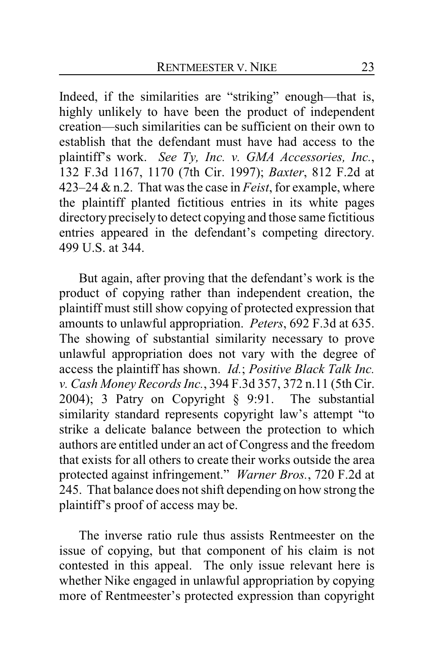Indeed, if the similarities are "striking" enough—that is, highly unlikely to have been the product of independent creation—such similarities can be sufficient on their own to establish that the defendant must have had access to the plaintiff's work. *See Ty, Inc. v. GMA Accessories, Inc.*, 132 F.3d 1167, 1170 (7th Cir. 1997); *Baxter*, 812 F.2d at 423–24 & n.2. That was the case in *Feist*, for example, where the plaintiff planted fictitious entries in its white pages directory precisely to detect copying and those same fictitious entries appeared in the defendant's competing directory. 499 U.S. at 344.

But again, after proving that the defendant's work is the product of copying rather than independent creation, the plaintiff must still show copying of protected expression that amounts to unlawful appropriation. *Peters*, 692 F.3d at 635. The showing of substantial similarity necessary to prove unlawful appropriation does not vary with the degree of access the plaintiff has shown. *Id.*; *Positive Black Talk Inc. v. Cash Money Records Inc.*, 394 F.3d 357, 372 n.11 (5th Cir. 2004); 3 Patry on Copyright § 9:91. The substantial similarity standard represents copyright law's attempt "to strike a delicate balance between the protection to which authors are entitled under an act of Congress and the freedom that exists for all others to create their works outside the area protected against infringement." *Warner Bros.*, 720 F.2d at 245. That balance does not shift depending on how strong the plaintiff's proof of access may be.

The inverse ratio rule thus assists Rentmeester on the issue of copying, but that component of his claim is not contested in this appeal. The only issue relevant here is whether Nike engaged in unlawful appropriation by copying more of Rentmeester's protected expression than copyright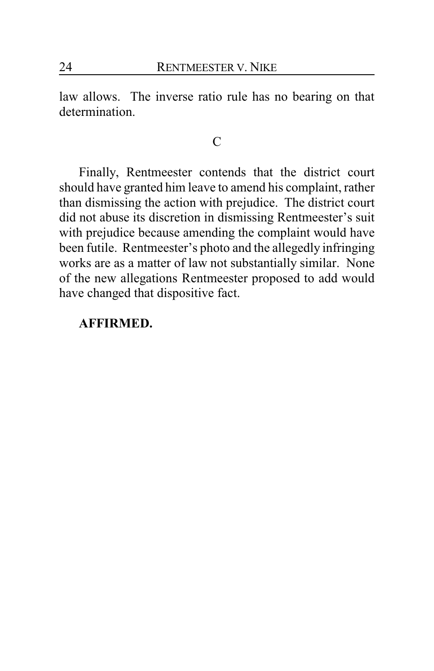law allows. The inverse ratio rule has no bearing on that determination.

#### $\mathcal{C}$

Finally, Rentmeester contends that the district court should have granted him leave to amend his complaint, rather than dismissing the action with prejudice. The district court did not abuse its discretion in dismissing Rentmeester's suit with prejudice because amending the complaint would have been futile. Rentmeester's photo and the allegedly infringing works are as a matter of law not substantially similar. None of the new allegations Rentmeester proposed to add would have changed that dispositive fact.

#### **AFFIRMED.**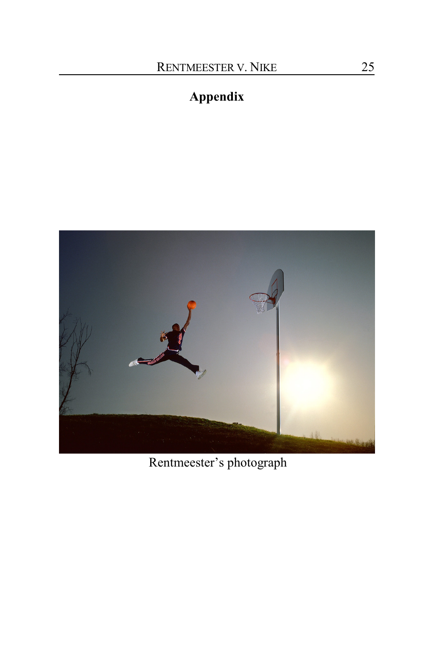# **Appendix**



Rentmeester's photograph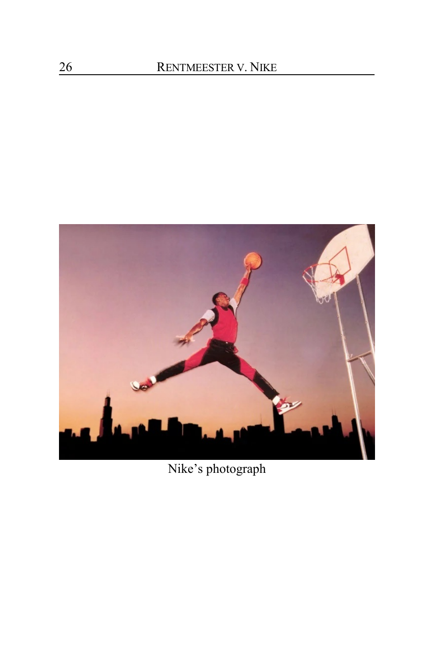

Nike's photograph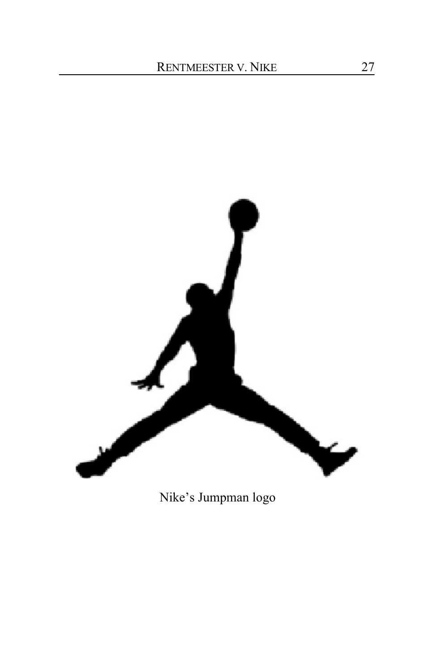

Nike's Jumpman logo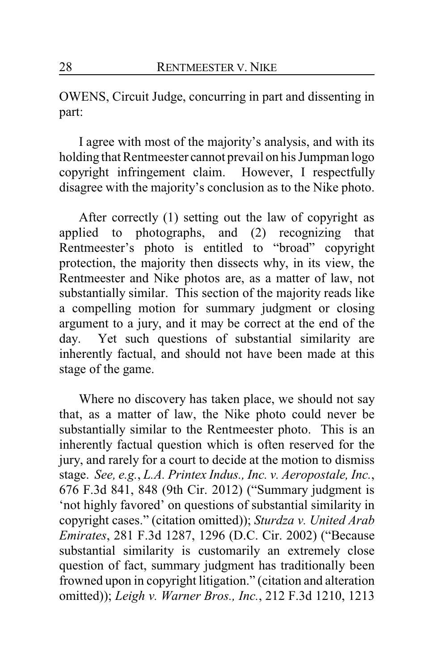OWENS, Circuit Judge, concurring in part and dissenting in part:

I agree with most of the majority's analysis, and with its holding that Rentmeester cannot prevail on his Jumpman logo copyright infringement claim. However, I respectfully disagree with the majority's conclusion as to the Nike photo.

After correctly (1) setting out the law of copyright as applied to photographs, and (2) recognizing that Rentmeester's photo is entitled to "broad" copyright protection, the majority then dissects why, in its view, the Rentmeester and Nike photos are, as a matter of law, not substantially similar. This section of the majority reads like a compelling motion for summary judgment or closing argument to a jury, and it may be correct at the end of the day. Yet such questions of substantial similarity are inherently factual, and should not have been made at this stage of the game.

Where no discovery has taken place, we should not say that, as a matter of law, the Nike photo could never be substantially similar to the Rentmeester photo. This is an inherently factual question which is often reserved for the jury, and rarely for a court to decide at the motion to dismiss stage. *See, e.g.*, *L.A. Printex Indus., Inc. v. Aeropostale, Inc.*, 676 F.3d 841, 848 (9th Cir. 2012) ("Summary judgment is 'not highly favored' on questions of substantial similarity in copyright cases." (citation omitted)); *Sturdza v. United Arab Emirates*, 281 F.3d 1287, 1296 (D.C. Cir. 2002) ("Because substantial similarity is customarily an extremely close question of fact, summary judgment has traditionally been frowned upon in copyright litigation." (citation and alteration omitted)); *Leigh v. Warner Bros., Inc.*, 212 F.3d 1210, 1213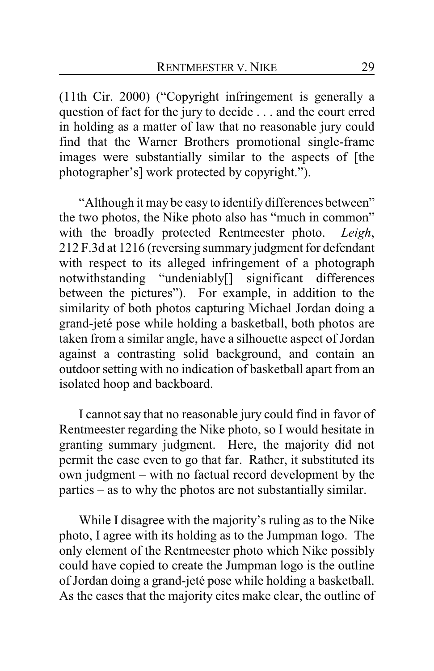(11th Cir. 2000) ("Copyright infringement is generally a question of fact for the jury to decide . . . and the court erred in holding as a matter of law that no reasonable jury could find that the Warner Brothers promotional single-frame images were substantially similar to the aspects of [the photographer's] work protected by copyright.").

"Although it may be easy to identify differences between" the two photos, the Nike photo also has "much in common" with the broadly protected Rentmeester photo. *Leigh*, 212 F.3d at 1216 (reversing summary judgment for defendant with respect to its alleged infringement of a photograph notwithstanding "undeniably[] significant differences between the pictures"). For example, in addition to the similarity of both photos capturing Michael Jordan doing a grand-jeté pose while holding a basketball, both photos are taken from a similar angle, have a silhouette aspect of Jordan against a contrasting solid background, and contain an outdoor setting with no indication of basketball apart from an isolated hoop and backboard.

I cannot say that no reasonable jury could find in favor of Rentmeester regarding the Nike photo, so I would hesitate in granting summary judgment. Here, the majority did not permit the case even to go that far. Rather, it substituted its own judgment – with no factual record development by the parties – as to why the photos are not substantially similar.

While I disagree with the majority's ruling as to the Nike photo, I agree with its holding as to the Jumpman logo. The only element of the Rentmeester photo which Nike possibly could have copied to create the Jumpman logo is the outline of Jordan doing a grand-jeté pose while holding a basketball. As the cases that the majority cites make clear, the outline of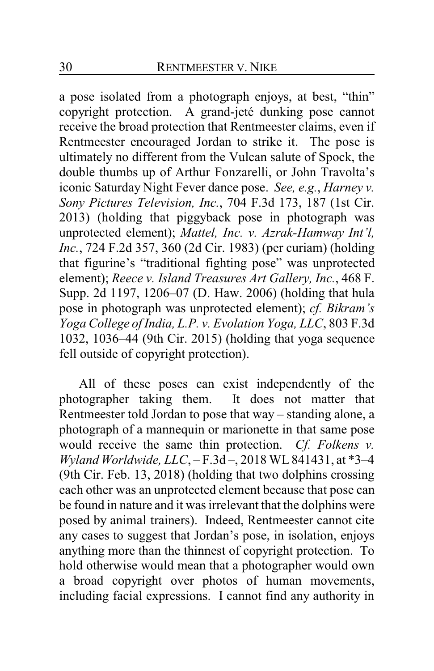a pose isolated from a photograph enjoys, at best, "thin" copyright protection. A grand-jeté dunking pose cannot receive the broad protection that Rentmeester claims, even if Rentmeester encouraged Jordan to strike it. The pose is ultimately no different from the Vulcan salute of Spock, the double thumbs up of Arthur Fonzarelli, or John Travolta's iconic Saturday Night Fever dance pose. *See, e.g.*, *Harney v. Sony Pictures Television, Inc.*, 704 F.3d 173, 187 (1st Cir. 2013) (holding that piggyback pose in photograph was unprotected element); *Mattel, Inc. v. Azrak-Hamway Int'l, Inc.*, 724 F.2d 357, 360 (2d Cir. 1983) (per curiam) (holding that figurine's "traditional fighting pose" was unprotected element); *Reece v. Island Treasures Art Gallery, Inc.*, 468 F. Supp. 2d 1197, 1206–07 (D. Haw. 2006) (holding that hula pose in photograph was unprotected element); *cf. Bikram's Yoga College of India, L.P. v. Evolation Yoga, LLC*, 803 F.3d 1032, 1036–44 (9th Cir. 2015) (holding that yoga sequence fell outside of copyright protection).

All of these poses can exist independently of the photographer taking them. It does not matter that Rentmeester told Jordan to pose that way – standing alone, a photograph of a mannequin or marionette in that same pose would receive the same thin protection. *Cf. Folkens v. Wyland Worldwide, LLC*, – F.3d –, 2018 WL841431, at \*3–4 (9th Cir. Feb. 13, 2018) (holding that two dolphins crossing each other was an unprotected element because that pose can be found in nature and it was irrelevant that the dolphins were posed by animal trainers). Indeed, Rentmeester cannot cite any cases to suggest that Jordan's pose, in isolation, enjoys anything more than the thinnest of copyright protection. To hold otherwise would mean that a photographer would own a broad copyright over photos of human movements, including facial expressions. I cannot find any authority in